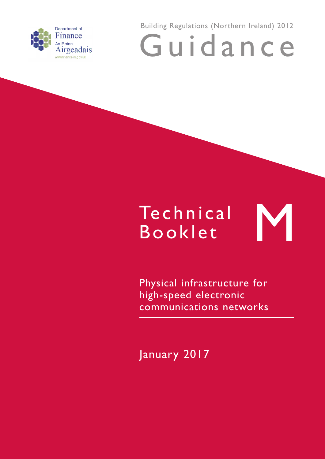

Building Regulations (Northern Ireland) 2012 Guidance

## **Te chnical** Technical M<br>Booklet

Physical infrastructure for high-speed electronic communications networks

January 2017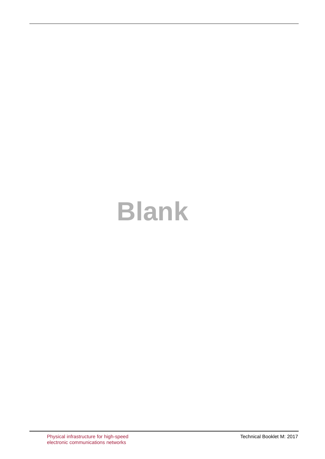# **Blank**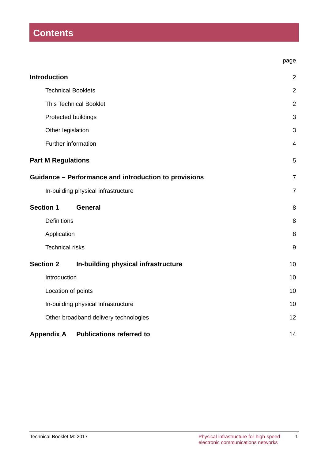## **Contents**

| <b>Introduction</b>                                  |                                                       | $\overline{2}$   |
|------------------------------------------------------|-------------------------------------------------------|------------------|
|                                                      | <b>Technical Booklets</b>                             |                  |
| <b>This Technical Booklet</b>                        |                                                       | $\overline{2}$   |
| Protected buildings                                  |                                                       | 3                |
| Other legislation                                    |                                                       | 3                |
| Further information                                  |                                                       | 4                |
| <b>Part M Regulations</b>                            |                                                       | 5                |
|                                                      | Guidance - Performance and introduction to provisions | $\overline{7}$   |
|                                                      | In-building physical infrastructure                   | $\overline{7}$   |
| <b>Section 1</b>                                     | <b>General</b>                                        | 8                |
| <b>Definitions</b>                                   |                                                       | 8                |
| Application                                          |                                                       | 8                |
| <b>Technical risks</b>                               |                                                       | $\boldsymbol{9}$ |
| <b>Section 2</b>                                     | In-building physical infrastructure                   | 10               |
| Introduction                                         |                                                       | 10               |
| Location of points                                   |                                                       | 10               |
| In-building physical infrastructure                  |                                                       | 10               |
| Other broadband delivery technologies                |                                                       | 12               |
| <b>Appendix A</b><br><b>Publications referred to</b> |                                                       | 14               |

1

page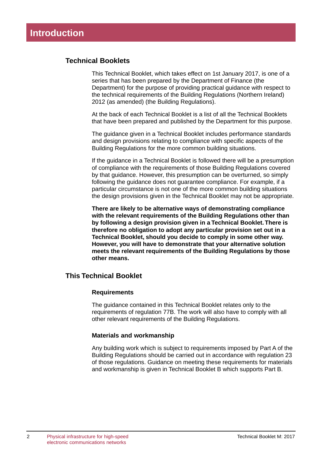#### **Technical Booklets**

This Technical Booklet, which takes effect on 1st January 2017, is one of a series that has been prepared by the Department of Finance (the Department) for the purpose of providing practical guidance with respect to the technical requirements of the Building Regulations (Northern Ireland) 2012 (as amended) (the Building Regulations).

At the back of each Technical Booklet is a list of all the Technical Booklets that have been prepared and published by the Department for this purpose.

The guidance given in a Technical Booklet includes performance standards and design provisions relating to compliance with specific aspects of the Building Regulations for the more common building situations.

If the guidance in a Technical Booklet is followed there will be a presumption of compliance with the requirements of those Building Regulations covered by that guidance. However, this presumption can be overturned, so simply following the guidance does not guarantee compliance. For example, if a particular circumstance is not one of the more common building situations the design provisions given in the Technical Booklet may not be appropriate.

**There are likely to be alternative ways of demonstrating compliance with the relevant requirements of the Building Regulations other than by following a design provision given in a Technical Booklet.There is therefore no obligation to adopt any particular provision set out in a Technical Booklet, should you decide to comply in some other way. However, you will have to demonstrate that your alternative solution meets the relevant requirements of the Building Regulations by those other means.**

## **This Technical Booklet**

#### **Requirements**

The guidance contained in this Technical Booklet relates only to the requirements of regulation 77B. The work will also have to comply with all other relevant requirements of the Building Regulations.

#### **Materials and workmanship**

Any building work which is subject to requirements imposed by Part A of the Building Regulations should be carried out in accordance with regulation 23 of those regulations. Guidance on meeting these requirements for materials and workmanship is given in Technical Booklet B which supports Part B.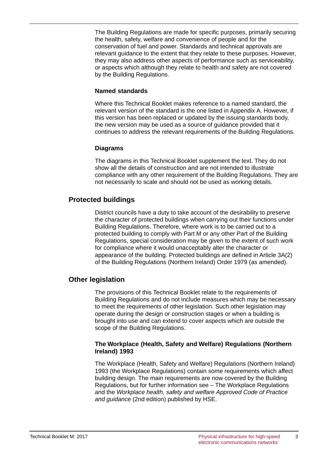The Building Regulations are made for specific purposes, primarily securing the health, safety, welfare and convenience of people and for the conservation of fuel and power. Standards and technical approvals are relevant guidance to the extent that they relate to these purposes. However, they may also address other aspects of performance such as serviceability, or aspects which although they relate to health and safety are not covered by the Building Regulations.

#### **Named standards**

Where this Technical Booklet makes reference to a named standard, the relevant version of the standard is the one listed in Appendix A. However, if this version has been replaced or updated by the issuing standards body, the new version may be used as a source of guidance provided that it continues to address the relevant requirements of the Building Regulations.

## **Diagrams**

The diagrams in this Technical Booklet supplement the text. They do not show all the details of construction and are not intended to illustrate compliance with any other requirement of the Building Regulations. They are not necessarily to scale and should not be used as working details.

## **Protected buildings**

District councils have a duty to take account of the desirability to preserve the character of protected buildings when carrying out their functions under Building Regulations. Therefore, where work is to be carried out to a protected building to comply with Part M or any other Part of the Building Regulations, special consideration may be given to the extent of such work for compliance where it would unacceptably alter the character or appearance of the building. Protected buildings are defined in Article 3A(2) of the Building Regulations (Northern Ireland) Order 1979 (as amended).

## **Other legislation**

The provisions of this Technical Booklet relate to the requirements of Building Regulations and do not include measures which may be necessary to meet the requirements of other legislation. Such other legislation may operate during the design or construction stages or when a building is brought into use and can extend to cover aspects which are outside the scope of the Building Regulations.

#### **The Workplace (Health, Safety and Welfare) Regulations (Northern Ireland) 1993**

The Workplace (Health, Safety and Welfare) Regulations (Northern Ireland) 1993 (the Workplace Regulations) contain some requirements which affect building design. The main requirements are now covered by the Building Regulations, but for further information see – The Workplace Regulations and the Workplace health, safety and welfare Approved Code of Practice and guidance (2nd edition) published by HSE.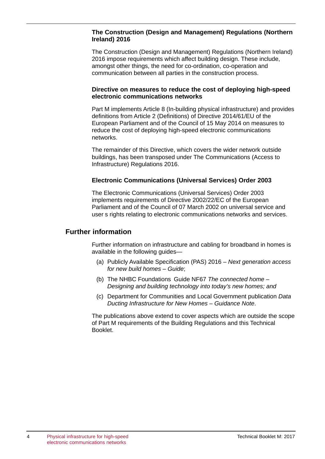#### **The Construction (Design and Management) Regulations (Northern Ireland) 2016**

The Construction (Design and Management) Regulations (Northern Ireland) 2016 impose requirements which affect building design. These include, amongst other things, the need for co-ordination, co-operation and communication between all parties in the construction process.

#### **Directive on measures to reduce the cost of deploying high-speed electronic communications networks**

Part M implements Article 8 (In-building physical infrastructure) and provides definitions from Article 2 (Definitions) of Directive 2014/61/EU of the European Parliament and of the Council of 15 May 2014 on measures to reduce the cost of deploying high-speed electronic communications networks.

The remainder of this Directive, which covers the wider network outside buildings, has been transposed under The Communications (Access to Infrastructure) Regulations 2016.

#### **Electronic Communications (Universal Services) Order 2003**

The Electronic Communications (Universal Services) Order 2003 implements requirements of Directive 2002/22/EC of the European Parliament and of the Council of 07 March 2002 on universal service and user s rights relating to electronic communications networks and services.

## **Further information**

Further information on infrastructure and cabling for broadband in homes is available in the following guides—

- (a) Publicly Available Specification (PAS) 2016 Next generation access for new build homes – Guide;
- (b) The NHBC Foundation s Guide NF67 The connected home Designing and building technology into today's new homes; and
- (c) Department for Communities and Local Government publication Data Ducting Infrastructure for New Homes – Guidance Note.

The publications above extend to cover aspects which are outside the scope of Part M requirements of the Building Regulations and this Technical Booklet.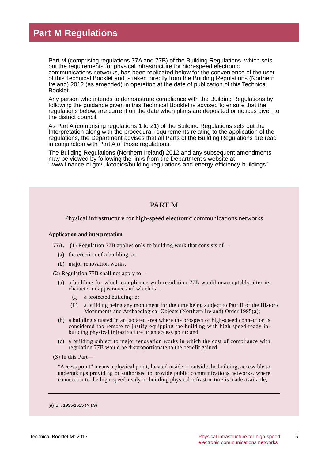Part M (comprising regulations 77A and 77B) of the Building Regulations, which sets out the requirements for physical infrastructure for high-speed electronic communications networks, has been replicated below for the convenience of the user of this Technical Booklet and is taken directly from the Building Regulations (Northern Ireland) 2012 (as amended) in operation at the date of publication of this Technical Booklet.

Any person who intends to demonstrate compliance with the Building Regulations by following the guidance given in this Technical Booklet is advised to ensure that the regulations below, are current on the date when plans are deposited or notices given to the district council.

As Part A (comprising regulations 1 to 21) of the Building Regulations sets out the Interpretation along with the procedural requirements relating to the application of the regulations, the Department advises that all Parts of the Building Regulations are read in conjunction with Part A of those regulations.

The Building Regulations (Northern Ireland) 2012 and any subsequent amendments may be viewed by following the links from the Department s website at "www.finance-ni.gov.uk/topics/building-regulations-and-energy-efficiency-buildings".

## PART M

Physical infrastructure for high-speed electronic communications networks

#### **Application and interpretation**

**77A.**—(1) Regulation 77B applies only to building work that consists of—

- (a) the erection of a building; or
- (b) major renovation works.

(2) Regulation 77B shall not apply to—

- (a) a building for which compliance with regulation 77B would unacceptably alter its character or appearance and which is—
	- (i) a protected building; or
	- (ii) a building being any monument for the time being subject to Part II of the Historic Monuments and Archaeological Objects (Northern Ireland) Order 1995(**a**);
- (b) a building situated in an isolated area where the prospect of high-speed connection is considered too remote to justify equipping the building with high-speed-ready inbuilding physical infrastructure or an access point; and
- (c) a building subject to major renovation works in which the cost of compliance with regulation 77B would be disproportionate to the benefit gained.
- (3) In this Part—

"Access point" means a physical point, located inside or outside the building, accessible to undertakings providing or authorised to provide public communications networks, where connection to the high-speed-ready in-building physical infrastructure is made available;

(**a**) S.I. 1995/1625 (N.I.9)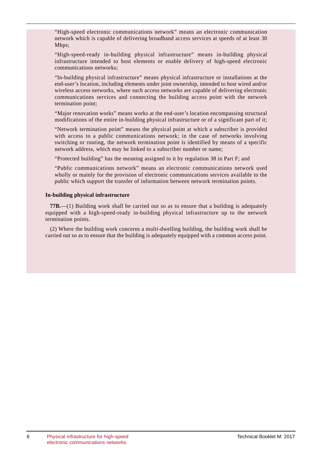"High-speed electronic communications network" means an electronic communication network which is capable of delivering broadband access services at speeds of at least 30 Mbps;

"High-speed-ready in-building physical infrastructure" means in-building physical infrastructure intended to host elements or enable delivery of high-speed electronic communications networks;

"In-building physical infrastructure" means physical infrastructure or installations at the end-user's location, including elements under joint ownership, intended to host wired and/or wireless access networks, where such access networks are capable of delivering electronic communications services and connecting the building access point with the network termination point;

"Major renovation works" means works at the end-user's location encompassing structural modifications of the entire in-building physical infrastructure or of a significant part of it;

"Network termination point" means the physical point at which a subscriber is provided with access to a public communications network; in the case of networks involving switching or routing, the network termination point is identified by means of a specific network address, which may be linked to a subscriber number or name;

"Protected building" has the meaning assigned to it by regulation 38 in Part F; and

"Public communications network" means an electronic communications network used wholly or mainly for the provision of electronic communications services available to the public which support the transfer of information between network termination points.

#### **In-building physical infrastructure**

**77B.**—(1) Building work shall be carried out so as to ensure that a building is adequately equipped with a high-speed-ready in-building physical infrastructure up to the network termination points.

(2) Where the building work concerns a multi-dwelling building, the building work shall be carried out so as to ensure that the building is adequately equipped with a common access point.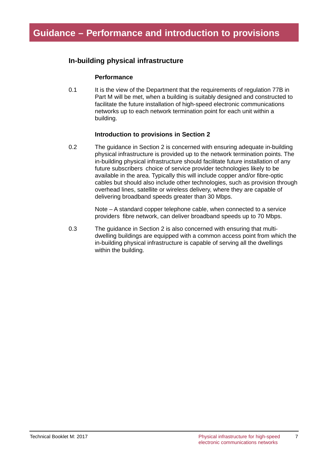## **In-building physical infrastructure**

#### **Performance**

0.1 It is the view of the Department that the requirements of regulation 77B in Part M will be met, when a building is suitably designed and constructed to facilitate the future installation of high-speed electronic communications networks up to each network termination point for each unit within a building.

#### **Introduction to provisions in Section 2**

0.2 The guidance in Section 2 is concerned with ensuring adequate in-building physical infrastructure is provided up to the network termination points. The in-building physical infrastructure should facilitate future installation of any future subscriber s choice of service provider technologies likely to be available in the area. Typically this will include copper and/or fibre-optic cables but should also include other technologies, such as provision through overhead lines, satellite or wireless delivery, where they are capable of delivering broadband speeds greater than 30 Mbps.

> Note – A standard copper telephone cable, when connected to a service provider s fibre network, can deliver broadband speeds up to 70 Mbps.

0.3 The guidance in Section 2 is also concerned with ensuring that multidwelling buildings are equipped with a common access point from which the in-building physical infrastructure is capable of serving all the dwellings within the building.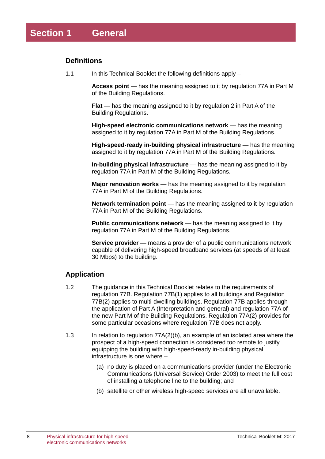## **Definitions**

1.1 In this Technical Booklet the following definitions apply –

**Access point** — has the meaning assigned to it by regulation 77A in Part M of the Building Regulations.

**Flat** — has the meaning assigned to it by regulation 2 in Part A of the Building Regulations.

**High-speed electronic communications network** — has the meaning assigned to it by regulation 77A in Part M of the Building Regulations.

**High-speed-ready in-building physical infrastructure** — has the meaning assigned to it by regulation 77A in Part M of the Building Regulations.

**In-building physical infrastructure** — has the meaning assigned to it by regulation 77A in Part M of the Building Regulations.

**Major renovation works** — has the meaning assigned to it by regulation 77A in Part M of the Building Regulations.

**Network termination point** — has the meaning assigned to it by regulation 77A in Part M of the Building Regulations.

**Public communications network** — has the meaning assigned to it by regulation 77A in Part M of the Building Regulations.

**Service provider** — means a provider of a public communications network capable of delivering high-speed broadband services (at speeds of at least 30 Mbps) to the building.

## **Application**

- 1.2 The guidance in this Technical Booklet relates to the requirements of regulation 77B. Regulation 77B(1) applies to all buildings and Regulation 77B(2) applies to multi-dwelling buildings. Regulation 77B applies through the application of Part A (Interpretation and general) and regulation 77A of the new Part M of the Building Regulations. Regulation 77A(2) provides for some particular occasions where regulation 77B does not apply.
- 1.3 In relation to regulation 77A(2)(b), an example of an isolated area where the prospect of a high-speed connection is considered too remote to justify equipping the building with high-speed-ready in-building physical infrastructure is one where –
	- (a) no duty is placed on a communications provider (under the Electronic Communications (Universal Service) Order 2003) to meet the full cost of installing a telephone line to the building; and
	- (b) satellite or other wireless high-speed services are all unavailable.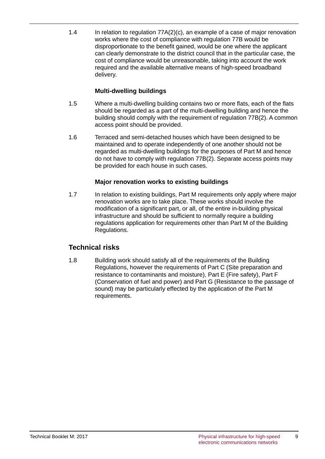1.4 In relation to regulation 77A(2)(c), an example of a case of major renovation works where the cost of compliance with regulation 77B would be disproportionate to the benefit gained, would be one where the applicant can clearly demonstrate to the district council that in the particular case, the cost of compliance would be unreasonable, taking into account the work required and the available alternative means of high-speed broadband delivery.

## **Multi-dwelling buildings**

- 1.5 Where a multi-dwelling building contains two or more flats, each of the flats should be regarded as a part of the multi-dwelling building and hence the building should comply with the requirement of regulation 77B(2). A common access point should be provided.
- 1.6 Terraced and semi-detached houses which have been designed to be maintained and to operate independently of one another should not be regarded as multi-dwelling buildings for the purposes of Part M and hence do not have to comply with regulation 77B(2). Separate access points may be provided for each house in such cases.

## **Major renovation works to existing buildings**

1.7 In relation to existing buildings, Part M requirements only apply where major renovation works are to take place. These works should involve the modification of a significant part, or all, of the entire in-building physical infrastructure and should be sufficient to normally require a building regulations application for requirements other than Part M of the Building Regulations.

## **Technical risks**

1.8 Building work should satisfy all of the requirements of the Building Regulations, however the requirements of Part C (Site preparation and resistance to contaminants and moisture), Part E (Fire safety), Part F (Conservation of fuel and power) and Part G (Resistance to the passage of sound) may be particularly effected by the application of the Part M requirements.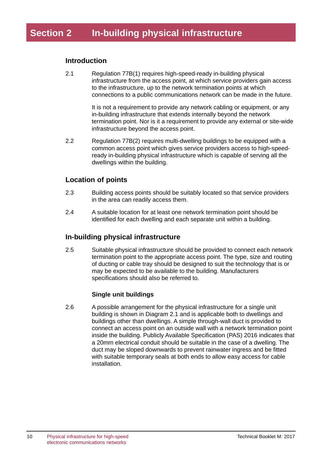## **Introduction**

2.1 Regulation 77B(1) requires high-speed-ready in-building physical infrastructure from the access point, at which service providers gain access to the infrastructure, up to the network termination points at which connections to a public communications network can be made in the future.

> It is not a requirement to provide any network cabling or equipment, or any in-building infrastructure that extends internally beyond the network termination point. Nor is it a requirement to provide any external or site-wide infrastructure beyond the access point.

2.2 Regulation 77B(2) requires multi-dwelling buildings to be equipped with a common access point which gives service providers access to high-speedready in-building physical infrastructure which is capable of serving all the dwellings within the building.

## **Location of points**

- 2.3 Building access points should be suitably located so that service providers in the area can readily access them.
- 2.4 A suitable location for at least one network termination point should be identified for each dwelling and each separate unit within a building.

## **In-building physical infrastructure**

2.5 Suitable physical infrastructure should be provided to connect each network termination point to the appropriate access point. The type, size and routing of ducting or cable tray should be designed to suit the technology that is or may be expected to be available to the building. Manufacturers specifications should also be referred to.

#### **Single unit buildings**

2.6 A possible arrangement for the physical infrastructure for a single unit building is shown in Diagram 2.1 and is applicable both to dwellings and buildings other than dwellings. A simple through-wall duct is provided to connect an access point on an outside wall with a network termination point inside the building. Publicly Available Specification (PAS) 2016 indicates that a 20mm electrical conduit should be suitable in the case of a dwelling. The duct may be sloped downwards to prevent rainwater ingress and be fitted with suitable temporary seals at both ends to allow easy access for cable installation.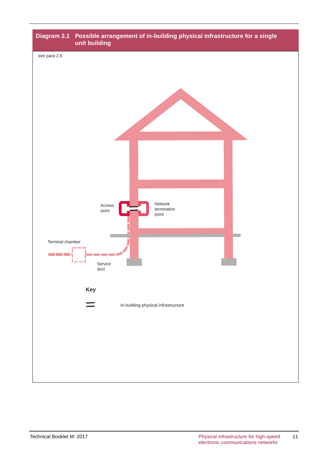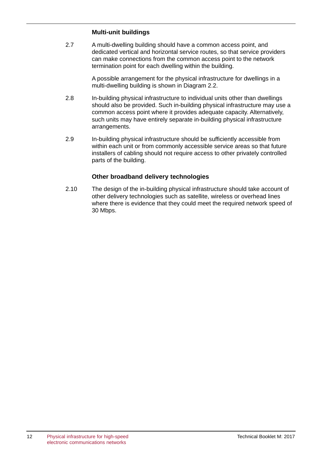## **Multi-unit buildings**

2.7 A multi-dwelling building should have a common access point, and dedicated vertical and horizontal service routes, so that service providers can make connections from the common access point to the network termination point for each dwelling within the building.

> A possible arrangement for the physical infrastructure for dwellings in a multi-dwelling building is shown in Diagram 2.2.

- 2.8 In-building physical infrastructure to individual units other than dwellings should also be provided. Such in-building physical infrastructure may use a common access point where it provides adequate capacity. Alternatively, such units may have entirely separate in-building physical infrastructure arrangements.
- 2.9 In-building physical infrastructure should be sufficiently accessible from within each unit or from commonly accessible service areas so that future installers of cabling should not require access to other privately controlled parts of the building.

## **Other broadband delivery technologies**

2.10 The design of the in-building physical infrastructure should take account of other delivery technologies such as satellite, wireless or overhead lines where there is evidence that they could meet the required network speed of 30 Mbps.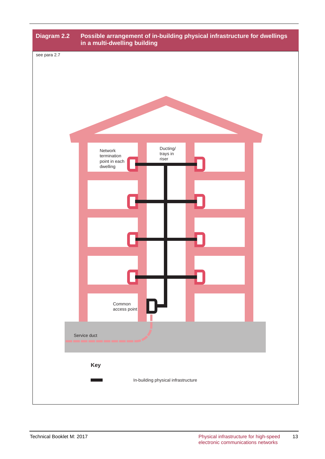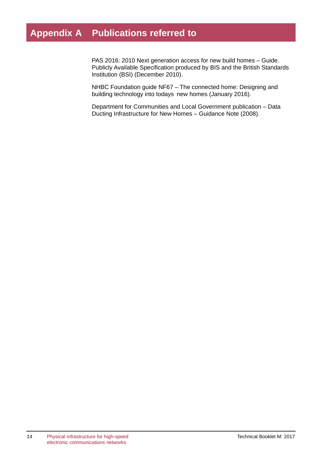PAS 2016: 2010 Next generation access for new build homes – Guide. Publicly Available Specification produced by BIS and the British Standards Institution (BSI) (December 2010).

NHBC Foundation guide NF67 – The connected home: Designing and building technology into today s new homes (January 2016).

Department for Communities and Local Government publication – Data Ducting Infrastructure for New Homes – Guidance Note (2008).